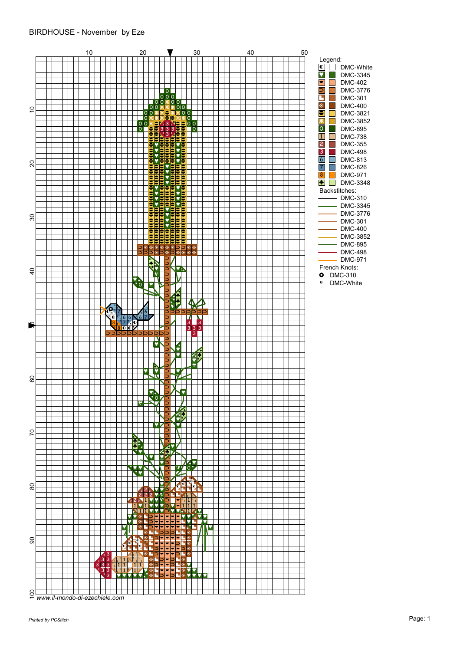## BIRDHOUSE - November by Eze